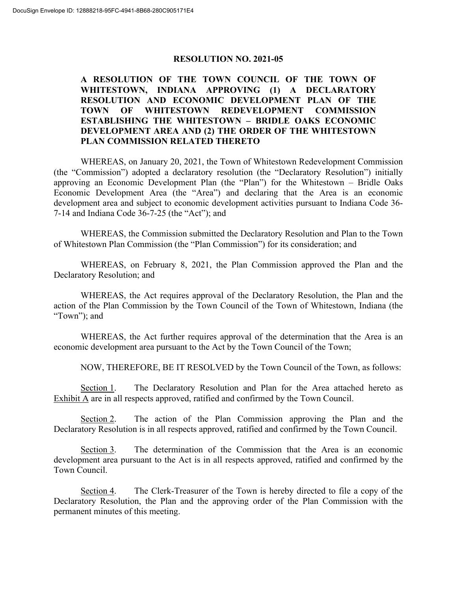## **RESOLUTION NO. 2021-05**

## **A RESOLUTION OF THE TOWN COUNCIL OF THE TOWN OF WHITESTOWN, INDIANA APPROVING (1) A DECLARATORY RESOLUTION AND ECONOMIC DEVELOPMENT PLAN OF THE TOWN OF WHITESTOWN REDEVELOPMENT COMMISSION ESTABLISHING THE WHITESTOWN – BRIDLE OAKS ECONOMIC DEVELOPMENT AREA AND (2) THE ORDER OF THE WHITESTOWN PLAN COMMISSION RELATED THERETO**

WHEREAS, on January 20, 2021, the Town of Whitestown Redevelopment Commission (the "Commission") adopted a declaratory resolution (the "Declaratory Resolution") initially approving an Economic Development Plan (the "Plan") for the Whitestown – Bridle Oaks Economic Development Area (the "Area") and declaring that the Area is an economic development area and subject to economic development activities pursuant to Indiana Code 36- 7-14 and Indiana Code 36-7-25 (the "Act"); and

WHEREAS, the Commission submitted the Declaratory Resolution and Plan to the Town of Whitestown Plan Commission (the "Plan Commission") for its consideration; and

WHEREAS, on February 8, 2021, the Plan Commission approved the Plan and the Declaratory Resolution; and

WHEREAS, the Act requires approval of the Declaratory Resolution, the Plan and the action of the Plan Commission by the Town Council of the Town of Whitestown, Indiana (the "Town"); and

WHEREAS, the Act further requires approval of the determination that the Area is an economic development area pursuant to the Act by the Town Council of the Town;

NOW, THEREFORE, BE IT RESOLVED by the Town Council of the Town, as follows:

Section 1. The Declaratory Resolution and Plan for the Area attached hereto as Exhibit A are in all respects approved, ratified and confirmed by the Town Council.

Section 2. The action of the Plan Commission approving the Plan and the Declaratory Resolution is in all respects approved, ratified and confirmed by the Town Council.

Section 3. The determination of the Commission that the Area is an economic development area pursuant to the Act is in all respects approved, ratified and confirmed by the Town Council.

Section 4. The Clerk-Treasurer of the Town is hereby directed to file a copy of the Declaratory Resolution, the Plan and the approving order of the Plan Commission with the permanent minutes of this meeting.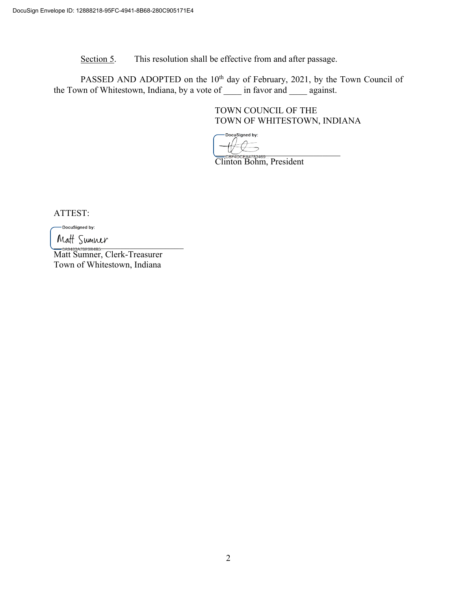Section 5. This resolution shall be effective from and after passage.

PASSED AND ADOPTED on the 10<sup>th</sup> day of February, 2021, by the Town Council of the Town of Whitestown, Indiana, by a vote of \_\_\_\_ in favor and \_\_\_\_ against.

> TOWN COUNCIL OF THE TOWN OF WHITESTOWN, INDIANA

DocuSigned by:  $\bigcup_{\alpha \in \mathcal{P}} \bigcup_{\alpha \in \mathcal{P}} \mathcal{L} \mathcal{L} \mathcal{L} \mathcal{L} \mathcal{L} \mathcal{L} \mathcal{L} \mathcal{L} \mathcal{L} \mathcal{L} \mathcal{L} \mathcal{L} \mathcal{L} \mathcal{L} \mathcal{L} \mathcal{L} \mathcal{L} \mathcal{L} \mathcal{L} \mathcal{L} \mathcal{L} \mathcal{L} \mathcal{L} \mathcal{L} \mathcal{L} \mathcal{L} \mathcal{L} \mathcal{L} \mathcal{L} \mathcal{L} \mathcal{L} \mathcal{L}$ 

Clinton Bohm, President

ATTEST:

-DocuSigned by:

 $VUUU$   $UUU$ 

Matt Sumner, Clerk-Treasurer Town of Whitestown, Indiana